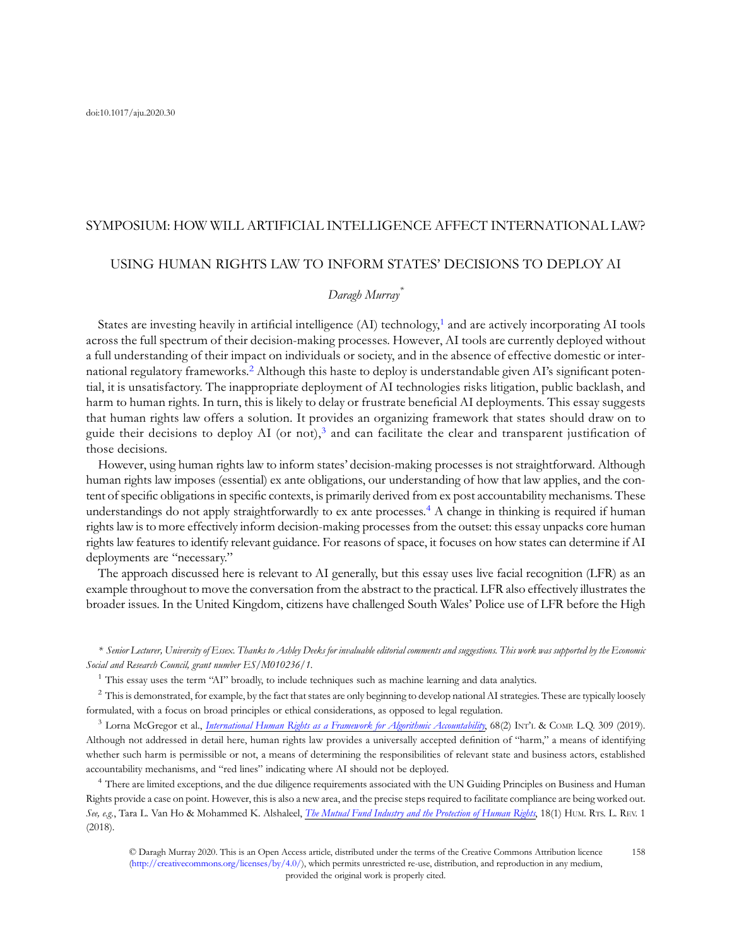# SYMPOSIUM: HOW WILL ARTIFICIAL INTELLIGENCE AFFECT INTERNATIONAL LAW?

# USING HUMAN RIGHTS LAW TO INFORM STATES' DECISIONS TO DEPLOY AI

# Daragh Murray<sup>\*</sup>

States are investing heavily in artificial intelligence  $(AI)$  technology,<sup>1</sup> and are actively incorporating AI tools across the full spectrum of their decision-making processes. However, AI tools are currently deployed without a full understanding of their impact on individuals or society, and in the absence of effective domestic or international regulatory frameworks.<sup>2</sup> Although this haste to deploy is understandable given AI's significant potential, it is unsatisfactory. The inappropriate deployment of AI technologies risks litigation, public backlash, and harm to human rights. In turn, this is likely to delay or frustrate beneficial AI deployments. This essay suggests that human rights law offers a solution. It provides an organizing framework that states should draw on to guide their decisions to deploy AI (or not),<sup>3</sup> and can facilitate the clear and transparent justification of those decisions.

However, using human rights law to inform states' decision-making processes is not straightforward. Although human rights law imposes (essential) ex ante obligations, our understanding of how that law applies, and the content of specific obligations in specific contexts, is primarily derived from ex post accountability mechanisms. These understandings do not apply straightforwardly to ex ante processes.4 A change in thinking is required if human rights law is to more effectively inform decision-making processes from the outset: this essay unpacks core human rights law features to identify relevant guidance. For reasons of space, it focuses on how states can determine if AI deployments are "necessary."

The approach discussed here is relevant to AI generally, but this essay uses live facial recognition (LFR) as an example throughout to move the conversation from the abstract to the practical. LFR also effectively illustrates the broader issues. In the United Kingdom, citizens have challenged South Wales' Police use of LFR before the High

\* Senior Lecturer, University of Essex. Thanks to Ashley Deeks for invaluable editorial comments and suggestions. This work was supported by the Economic Social and Research Council, grant number ES/M010236/1.

 $1$  This essay uses the term "AI" broadly, to include techniques such as machine learning and data analytics.

 $2$  This is demonstrated, for example, by the fact that states are only beginning to develop national AI strategies. These are typically loosely formulated, with a focus on broad principles or ethical considerations, as opposed to legal regulation.

<sup>3</sup> Lorna McGregor et al., *[International Human Rights as a Framework for Algorithmic Accountability](https://www.cambridge.org/core/journals/international-and-comparative-law-quarterly/article/international-human-rights-law-as-a-framework-for-algorithmic-accountability/1D6D0A456B36BA7512A6AFF17F16E9B6)*, 68(2) INT'L & COMP. L.Q. 309 (2019). Although not addressed in detail here, human rights law provides a universally accepted definition of "harm," a means of identifying whether such harm is permissible or not, a means of determining the responsibilities of relevant state and business actors, established accountability mechanisms, and "red lines" indicating where AI should not be deployed.

<sup>4</sup> There are limited exceptions, and the due diligence requirements associated with the UN Guiding Principles on Business and Human Rights provide a case on point. However, this is also a new area, and the precise steps required to facilitate compliance are being worked out. See, e.g., Tara L. Van Ho & Mohammed K. Alshaleel, [The Mutual Fund Industry and the Protection of Human Rights](https://academic.oup.com/hrlr/article-abstract/18/1/1/4818268?redirectedFrom=fulltext), 18(1) HUM. RTS. L. REV. 1 (2018).

© Daragh Murray 2020. This is an Open Access article, distributed under the terms of the Creative Commons Attribution licence [\(http://creativecommons.org/licenses/by/4.0/](http://creativecommons.org/licenses/by/4.0/)), which permits unrestricted re-use, distribution, and reproduction in any medium, provided the original work is properly cited. 158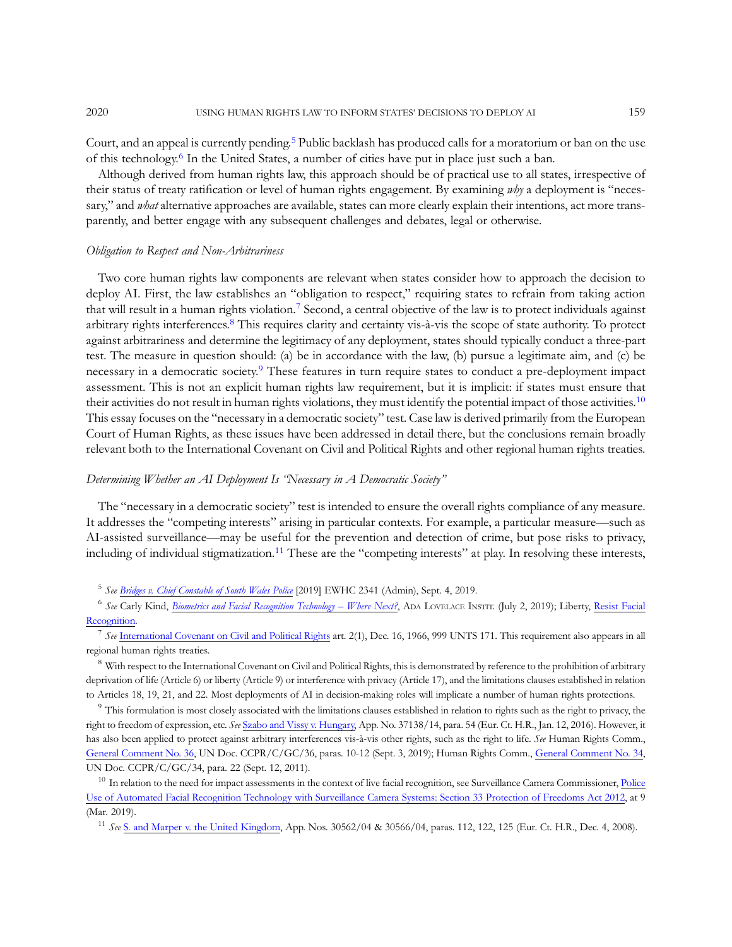#### 2020 USING HUMAN RIGHTS LAW TO INFORM STATES' DECISIONS TO DEPLOY AI 159

Court, and an appeal is currently pending.<sup>5</sup> Public backlash has produced calls for a moratorium or ban on the use of this technology.<sup>6</sup> In the United States, a number of cities have put in place just such a ban.

Although derived from human rights law, this approach should be of practical use to all states, irrespective of their status of treaty ratification or level of human rights engagement. By examining  $wby$  a deployment is "necessary," and *what* alternative approaches are available, states can more clearly explain their intentions, act more transparently, and better engage with any subsequent challenges and debates, legal or otherwise.

## Obligation to Respect and Non-Arbitrariness

Two core human rights law components are relevant when states consider how to approach the decision to deploy AI. First, the law establishes an "obligation to respect," requiring states to refrain from taking action that will result in a human rights violation.<sup>7</sup> Second, a central objective of the law is to protect individuals against arbitrary rights interferences.8 This requires clarity and certainty vis-à-vis the scope of state authority. To protect against arbitrariness and determine the legitimacy of any deployment, states should typically conduct a three-part test. The measure in question should: (a) be in accordance with the law, (b) pursue a legitimate aim, and (c) be necessary in a democratic society.<sup>9</sup> These features in turn require states to conduct a pre-deployment impact assessment. This is not an explicit human rights law requirement, but it is implicit: if states must ensure that their activities do not result in human rights violations, they must identify the potential impact of those activities.<sup>10</sup> This essay focuses on the "necessary in a democratic society" test. Case law is derived primarily from the European Court of Human Rights, as these issues have been addressed in detail there, but the conclusions remain broadly relevant both to the International Covenant on Civil and Political Rights and other regional human rights treaties.

### Determining Whether an AI Deployment Is "Necessary in A Democratic Society"

The "necessary in a democratic society" test is intended to ensure the overall rights compliance of any measure. It addresses the "competing interests" arising in particular contexts. For example, a particular measure—such as AI-assisted surveillance—may be useful for the prevention and detection of crime, but pose risks to privacy, including of individual stigmatization.<sup>11</sup> These are the "competing interests" at play. In resolving these interests,

<sup>5</sup> See [Bridges v. Chief Constable of South Wales Police](https://www.bailii.org/cgi-bin/format.cgi?doc=/ew/cases/EWHC/Admin/2019/2341.html&query=(2019.)+AND+(EWHC)+AND+(2341)) [2019] EWHC 2341 (Admin), Sept. 4, 2019.

<sup>6</sup> See Carly Kind, [Biometrics and Facial Recognition Technology](https://www.adalovelaceinstitute.org/biometrics-and-facial-recognition-technology-where-next/) – Where Next?, ADA LOVELACE INSTIT. (July 2, 2019); Liberty, [Resist Facial](https://www.libertyhumanrights.org.uk/campaign/resist-facial-recognition/) [Recognition](https://www.libertyhumanrights.org.uk/campaign/resist-facial-recognition/).

<sup>7</sup> See [International Covenant on Civil and Political Rights](https://www.ohchr.org/en/professionalinterest/pages/ccpr.aspx) art. 2(1), Dec. 16, 1966, 999 UNTS 171. This requirement also appears in all regional human rights treaties.

<sup>8</sup> With respect to the International Covenant on Civil and Political Rights, this is demonstrated by reference to the prohibition of arbitrary deprivation of life (Article 6) or liberty (Article 9) or interference with privacy (Article 17), and the limitations clauses established in relation to Articles 18, 19, 21, and 22. Most deployments of AI in decision-making roles will implicate a number of human rights protections.

<sup>9</sup> This formulation is most closely associated with the limitations clauses established in relation to rights such as the right to privacy, the right to freedom of expression, etc. See [Szabo and Vissy v. Hungary,](http://hudoc.echr.coe.int/eng?i=001-160020) App. No. 37138/14, para. 54 (Eur. Ct. H.R., Jan. 12, 2016). However, it has also been applied to protect against arbitrary interferences vis-à-vis other rights, such as the right to life. See Human Rights Comm., [General Comment No. 36](https://undocs.org/CCPR/C/GC/36), UN Doc. CCPR/C/GC/36, paras. 10-12 (Sept. 3, 2019); Human Rights Comm., [General Comment No. 34](https://www2.ohchr.org/english/bodies/hrc/docs/gc34.pdf), UN Doc. CCPR/C/GC/34, para. 22 (Sept. 12, 2011).

 $10$  In relation to the need for impact assessments in the context of live facial recognition, see Surveillance Camera Commissioner, [Police](https://assets.publishing.service.gov.uk/government/uploads/system/uploads/attachment_data/file/786392/AFR_police_guidance_of_PoFA_V1_March_2019.pdf) [Use of Automated Facial Recognition Technology with Surveillance Camera Systems: Section 33 Protection of Freedoms Act 2012,](https://assets.publishing.service.gov.uk/government/uploads/system/uploads/attachment_data/file/786392/AFR_police_guidance_of_PoFA_V1_March_2019.pdf) at 9 (Mar. 2019).

<sup>11</sup> See [S. and Marper v. the United Kingdom,](https://rm.coe.int/168067d216) App. Nos.  $30562/04$  &  $30566/04$ , paras. 112, 122, 125 (Eur. Ct. H.R., Dec. 4, 2008).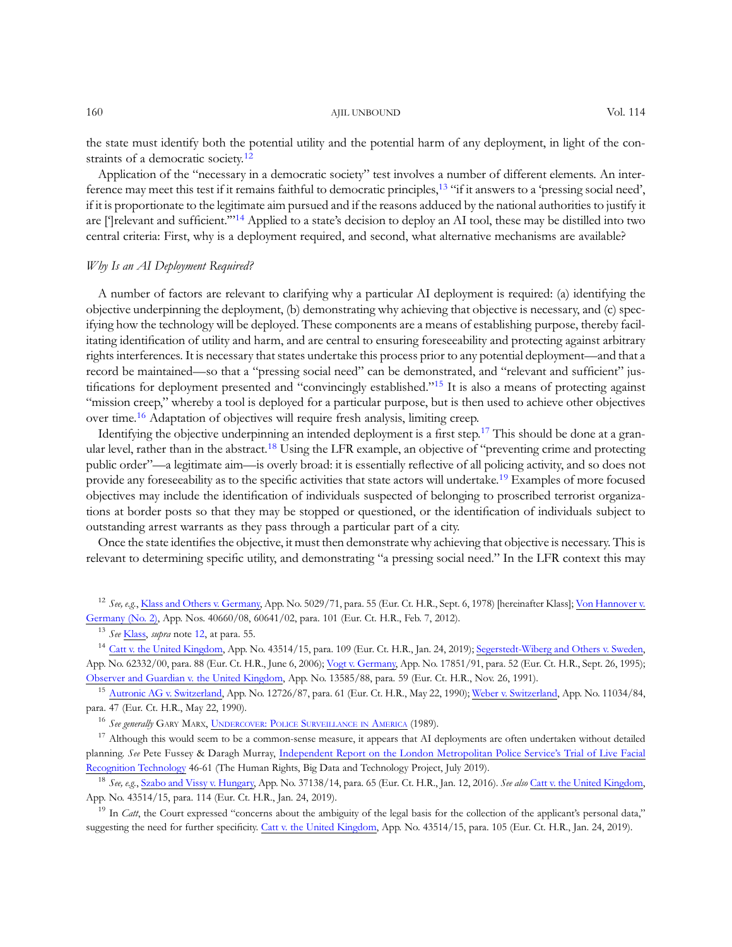the state must identify both the potential utility and the potential harm of any deployment, in light of the constraints of a democratic society.<sup>12</sup>

Application of the "necessary in a democratic society" test involves a number of different elements. An interference may meet this test if it remains faithful to democratic principles,<sup>13</sup> "if it answers to a 'pressing social need', if it is proportionate to the legitimate aim pursued and if the reasons adduced by the national authorities to justify it are [']relevant and sufficient.'"<sup>14</sup> Applied to a state's decision to deploy an AI tool, these may be distilled into two central criteria: First, why is a deployment required, and second, what alternative mechanisms are available?

## Why Is an AI Deployment Required?

A number of factors are relevant to clarifying why a particular AI deployment is required: (a) identifying the objective underpinning the deployment, (b) demonstrating why achieving that objective is necessary, and (c) specifying how the technology will be deployed. These components are a means of establishing purpose, thereby facilitating identification of utility and harm, and are central to ensuring foreseeability and protecting against arbitrary rights interferences. It is necessary that states undertake this process prior to any potential deployment—and that a record be maintained—so that a "pressing social need" can be demonstrated, and "relevant and sufficient" justifications for deployment presented and "convincingly established."<sup>15</sup> It is also a means of protecting against "mission creep," whereby a tool is deployed for a particular purpose, but is then used to achieve other objectives over time.<sup>16</sup> Adaptation of objectives will require fresh analysis, limiting creep.

Identifying the objective underpinning an intended deployment is a first step.<sup>17</sup> This should be done at a granular level, rather than in the abstract.<sup>18</sup> Using the LFR example, an objective of "preventing crime and protecting public order"—a legitimate aim—is overly broad: it is essentially reflective of all policing activity, and so does not provide any foreseeability as to the specific activities that state actors will undertake.19 Examples of more focused objectives may include the identification of individuals suspected of belonging to proscribed terrorist organizations at border posts so that they may be stopped or questioned, or the identification of individuals subject to outstanding arrest warrants as they pass through a particular part of a city.

Once the state identifies the objective, it must then demonstrate why achieving that objective is necessary. This is relevant to determining specific utility, and demonstrating "a pressing social need." In the LFR context this may

 $12 \text{ See, e.g., Klass and Others v. Germany, App. No. 5029/71, para. 55 (Eur. Ct. H.R., Sept. 6, 1978) [hereinafter Klass]; Von Hannover v.$  $12 \text{ See, e.g., Klass and Others v. Germany, App. No. 5029/71, para. 55 (Eur. Ct. H.R., Sept. 6, 1978) [hereinafter Klass]; Von Hannover v.$  $12 \text{ See, e.g., Klass and Others v. Germany, App. No. 5029/71, para. 55 (Eur. Ct. H.R., Sept. 6, 1978) [hereinafter Klass]; Von Hannover v.$  $12 \text{ See, e.g., Klass and Others v. Germany, App. No. 5029/71, para. 55 (Eur. Ct. H.R., Sept. 6, 1978) [hereinafter Klass]; Von Hannover v.$ [Germany \(No. 2\),](http://hudoc.echr.coe.int/fre?i=001-109029) App. Nos. 40660/08, 60641/02, para. 101 (Eur. Ct. H.R., Feb. 7, 2012).

 $13$  See [Klass,](http://hudoc.echr.coe.int/rus?i=001-57510) *supra* note [12](#page-4-0), at para. 55.

<sup>14</sup> [Catt v. the United Kingdom](https://www.bailii.org/eu/cases/ECHR/2019/76.html), App. No. 43514/15, para. 109 (Eur. Ct. H.R., Jan. 24, 2019); [Segerstedt-Wiberg and Others v. Sweden](http://hudoc.echr.coe.int/eng-press?i=003-1688388-1769677), App. No. 62332/00, para. 88 (Eur. Ct. H.R., June 6, 2006); [Vogt v. Germany,](http://hudoc.echr.coe.int/eng?i=001-58012) App. No. 17851/91, para. 52 (Eur. Ct. H.R., Sept. 26, 1995); [Observer and Guardian v. the United Kingdom,](http://hudoc.echr.coe.int/eng?i=001-57705) App. No. 13585/88, para. 59 (Eur. Ct. H.R., Nov. 26, 1991).

<sup>15</sup> [Autronic AG v. Switzerland,](http://hudoc.echr.coe.int/eng?i=001-57630) App. No. 12726/87, para. 61 (Eur. Ct. H.R., May 22, 1990); [Weber v. Switzerland](http://hudoc.echr.coe.int/eng?i=001-57629), App. No. 11034/84, para. 47 (Eur. Ct. H.R., May 22, 1990).

<sup>16</sup> See generally GARY MARX, [UNDERCOVER: POLICE](https://www.jstor.org/stable/10.1525/j.ctt1ppg2c) SURVEILLANCE IN AMERICA (1989).

<sup>17</sup> Although this would seem to be a common-sense measure, it appears that AI deployments are often undertaken without detailed planning. See Pete Fussey & Daragh Murray, [Independent Report on the London Metropolitan Police Service](https://48ba3m4eh2bf2sksp43rq8kk-wpengine.netdna-ssl.com/wp-content/uploads/2019/07/London-Met-Police-Trial-of-Facial-Recognition-Tech-Report.pdf)'s Trial of Live Facial [Recognition Technology](https://48ba3m4eh2bf2sksp43rq8kk-wpengine.netdna-ssl.com/wp-content/uploads/2019/07/London-Met-Police-Trial-of-Facial-Recognition-Tech-Report.pdf) 46-61 (The Human Rights, Big Data and Technology Project, July 2019).

<sup>18</sup> See, e.g., [Szabo and Vissy v. Hungary,](http://hudoc.echr.coe.int/eng?i=001-160020) App. No. 37138/14, para. 65 (Eur. Ct. H.R., Jan. 12, 2016). See also [Catt v. the United Kingdom](http://hudoc.echr.coe.int/eng?i=001-189424), App. No. 43514/15, para. 114 (Eur. Ct. H.R., Jan. 24, 2019).

<sup>19</sup> In *Catt*, the Court expressed "concerns about the ambiguity of the legal basis for the collection of the applicant's personal data," suggesting the need for further specificity. [Catt v. the United Kingdom,](http://hudoc.echr.coe.int/eng?i=001-189424) App. No. 43514/15, para. 105 (Eur. Ct. H.R., Jan. 24, 2019).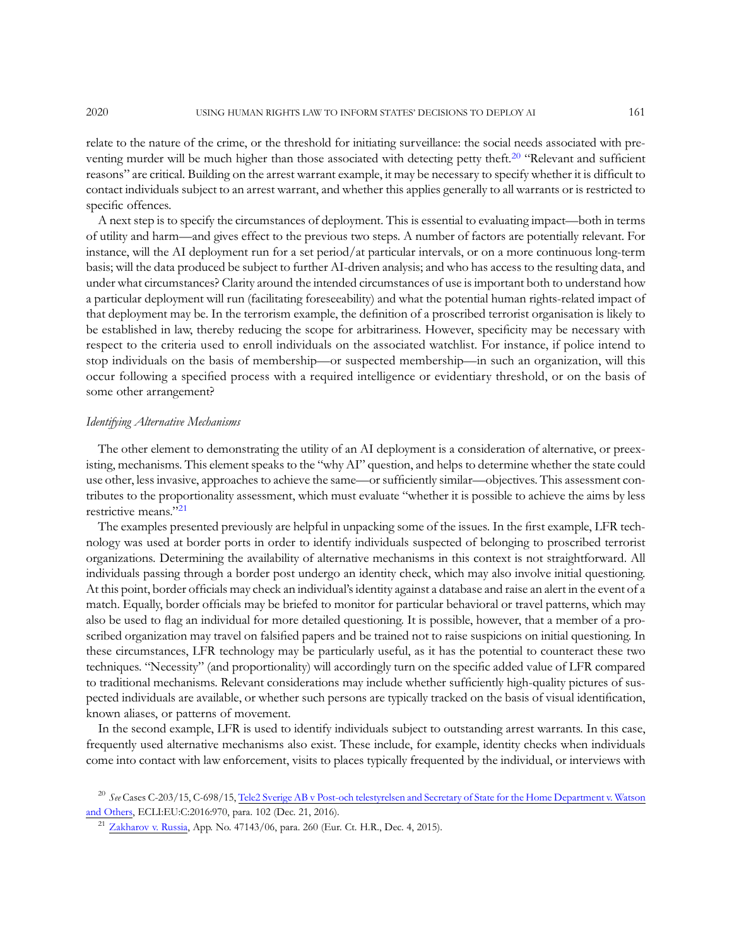relate to the nature of the crime, or the threshold for initiating surveillance: the social needs associated with preventing murder will be much higher than those associated with detecting petty theft.<sup>20</sup> "Relevant and sufficient reasons" are critical. Building on the arrest warrant example, it may be necessary to specify whether it is difficult to contact individuals subject to an arrest warrant, and whether this applies generally to all warrants or is restricted to specific offences.

A next step is to specify the circumstances of deployment. This is essential to evaluating impact—both in terms of utility and harm—and gives effect to the previous two steps. A number of factors are potentially relevant. For instance, will the AI deployment run for a set period/at particular intervals, or on a more continuous long-term basis; will the data produced be subject to further AI-driven analysis; and who has access to the resulting data, and under what circumstances? Clarity around the intended circumstances of use is important both to understand how a particular deployment will run (facilitating foreseeability) and what the potential human rights-related impact of that deployment may be. In the terrorism example, the definition of a proscribed terrorist organisation is likely to be established in law, thereby reducing the scope for arbitrariness. However, specificity may be necessary with respect to the criteria used to enroll individuals on the associated watchlist. For instance, if police intend to stop individuals on the basis of membership—or suspected membership—in such an organization, will this occur following a specified process with a required intelligence or evidentiary threshold, or on the basis of some other arrangement?

#### Identifying Alternative Mechanisms

The other element to demonstrating the utility of an AI deployment is a consideration of alternative, or preexisting, mechanisms. This element speaks to the "why AI" question, and helps to determine whether the state could use other, less invasive, approaches to achieve the same—or sufficiently similar—objectives. This assessment contributes to the proportionality assessment, which must evaluate "whether it is possible to achieve the aims by less restrictive means."<sup>21</sup>

The examples presented previously are helpful in unpacking some of the issues. In the first example, LFR technology was used at border ports in order to identify individuals suspected of belonging to proscribed terrorist organizations. Determining the availability of alternative mechanisms in this context is not straightforward. All individuals passing through a border post undergo an identity check, which may also involve initial questioning. At this point, border officials may check an individual's identity against a database and raise an alert in the event of a match. Equally, border officials may be briefed to monitor for particular behavioral or travel patterns, which may also be used to flag an individual for more detailed questioning. It is possible, however, that a member of a proscribed organization may travel on falsified papers and be trained not to raise suspicions on initial questioning. In these circumstances, LFR technology may be particularly useful, as it has the potential to counteract these two techniques. "Necessity" (and proportionality) will accordingly turn on the specific added value of LFR compared to traditional mechanisms. Relevant considerations may include whether sufficiently high-quality pictures of suspected individuals are available, or whether such persons are typically tracked on the basis of visual identification, known aliases, or patterns of movement.

In the second example, LFR is used to identify individuals subject to outstanding arrest warrants. In this case, frequently used alternative mechanisms also exist. These include, for example, identity checks when individuals come into contact with law enforcement, visits to places typically frequented by the individual, or interviews with

<sup>&</sup>lt;sup>20</sup> See Cases C-203/15, C-698/15, [Tele2 Sverige AB v Post-och telestyrelsen and Secretary of State for the Home Department v. Watson](https://eur-lex.europa.eu/legal-content/EN/TXT/?uri=CELEX%3A62015CJ0203) [and Others,](https://eur-lex.europa.eu/legal-content/EN/TXT/?uri=CELEX%3A62015CJ0203) ECLI:EU:C:2016:970, para. 102 (Dec. 21, 2016).

<sup>21</sup> [Zakharov v. Russia,](http://hudoc.echr.coe.int/eng?i=001-159324) App. No. 47143/06, para. 260 (Eur. Ct. H.R., Dec. 4, 2015).